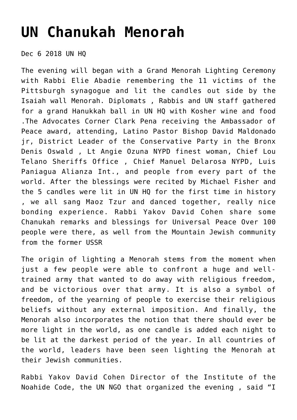## **[UN Chanukah Menorah](http://noahide.org/un-chanukah-menorah/)**

Dec 6 2018 UN HQ

The evening will began with a Grand Menorah Lighting Ceremony with Rabbi Elie Abadie remembering the 11 victims of the Pittsburgh synagogue and lit the candles out side by the Isaiah wall Menorah. Diplomats , Rabbis and UN staff gathered for a grand Hanukkah ball in UN HQ with Kosher wine and food .The Advocates Corner Clark Pena receiving the Ambassador of Peace award, attending, Latino Pastor Bishop David Maldonado jr, District Leader of the Conservative Party in the Bronx Denis Oswald , Lt Angie Ozuna NYPD finest woman, Chief Lou Telano Sheriffs Office , Chief Manuel Delarosa NYPD, Luis Paniagua Alianza Int., and people from every part of the world. After the blessings were recited by Michael Fisher and the 5 candles were lit in UN HQ for the first time in history , we all sang Maoz Tzur and danced together, really nice bonding experience. Rabbi Yakov David Cohen share some Chanukah remarks and blessings for Universal Peace Over 100 people were there, as well from the Mountain Jewish community from the former USSR

The origin of lighting a Menorah stems from the moment when just a few people were able to confront a huge and welltrained army that wanted to do away with religious freedom, and be victorious over that army. It is also a symbol of freedom, of the yearning of people to exercise their religious beliefs without any external imposition. And finally, the Menorah also incorporates the notion that there should ever be more light in the world, as one candle is added each night to be lit at the darkest period of the year. In all countries of the world, leaders have been seen lighting the Menorah at their Jewish communities.

Rabbi Yakov David Cohen Director of the Institute of the Noahide Code, the UN NGO that organized the evening , said "I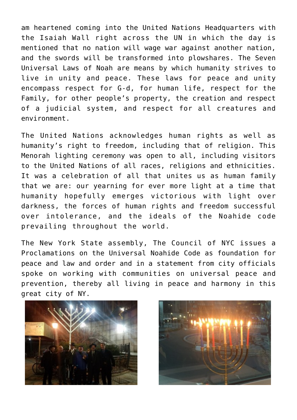am heartened coming into the United Nations Headquarters with the Isaiah Wall right across the UN in which the day is mentioned that no nation will wage war against another nation, and the swords will be transformed into plowshares. The Seven Universal Laws of Noah are means by which humanity strives to live in unity and peace. These laws for peace and unity encompass respect for G-d, for human life, respect for the Family, for other people's property, the creation and respect of a judicial system, and respect for all creatures and environment.

The United Nations acknowledges human rights as well as humanity's right to freedom, including that of religion. This Menorah lighting ceremony was open to all, including visitors to the United Nations of all races, religions and ethnicities. It was a celebration of all that unites us as human family that we are: our yearning for ever more light at a time that humanity hopefully emerges victorious with light over darkness, the forces of human rights and freedom successful over intolerance, and the ideals of the Noahide code prevailing throughout the world.

The New York State assembly, The Council of NYC issues a Proclamations on the Universal Noahide Code as foundation for peace and law and order and in a statement from city officials spoke on working with communities on universal peace and prevention, thereby all living in peace and harmony in this great city of NY.



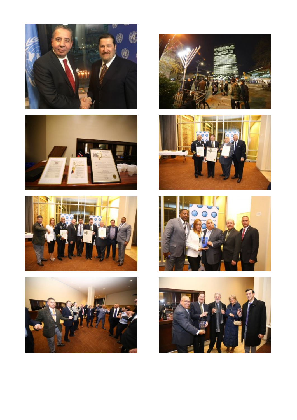